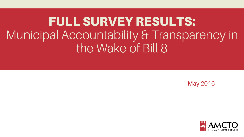FULL SURVEY RESULTS: Municipal Accountability & Transparency in the Wake of Bill 8

May 2016

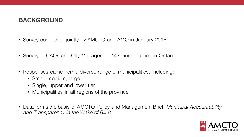## **BACKGROUND**

- Survey conducted jointly by AMCTO and AMO in January 2016
- Surveyed CAOs and City Managers in 143 municipalities in Ontario
- Responses came from a diverse range of municipalities, including:
	- Small, medium, large
	- Single, upper and lower tier
	- Municipalities in all regions of the province
- Data forms the basis of AMCTO Policy and Management Brief, *Municipal Accountability and Transparency in the Wake of Bill 8*

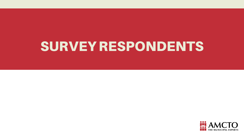# SURVEY RESPONDENTS

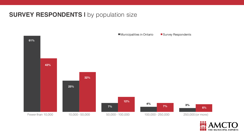## **SURVEY RESPONDENTS I** by population size



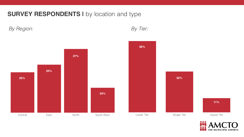**SURVEY RESPONDENTS I** by location and type

*By Region: By Tier:* 



THE MUNICIPAL EXPERTS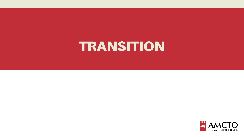# TRANSITION

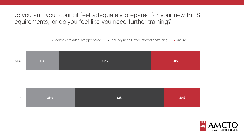Do you and your council feel adequately prepared for your new Bill 8 requirements, or do you feel like you need further training?







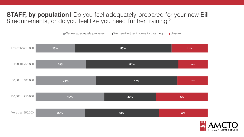## **STAFF, by population I** Do you feel adequately prepared for your new Bill 8 requirements, or do you feel like you need further training?

 $\blacksquare$  We feel adequately prepared  $\blacksquare$  We need further information/training  $\blacksquare$  Unsure



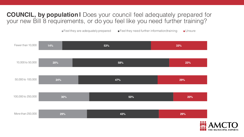## **COUNCIL, by population I** Does your council feel adequately prepared for your new Bill 8 requirements, or do you feel like you need further training?

 $\blacksquare$  Feel they are adequately prepared  $\blacksquare$  Feel they need further information/training  $\blacksquare$  Unsure



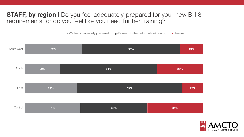## **STAFF, by region I** Do you feel adequately prepared for your new Bill 8 requirements, or do you feel like you need further training?

 $\blacksquare$  We feel adequately prepared  $\blacksquare$  We need further information/training  $\blacksquare$  Unsure



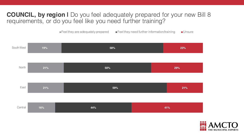## **COUNCIL, by region I** Do you feel adequately prepared for your new Bill 8 requirements, or do you feel like you need further training?

 $\blacksquare$  Feel they are adequately prepared  $\blacksquare$  Feel they need further information/training  $\blacksquare$  Unsure



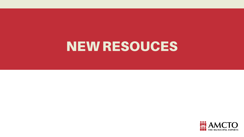# NEW RESOUCES

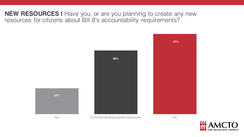**NEW RESOURCES I** Have you, or are you planning to create any new resources for citizens about Bill 8's accountability requirements?





Yes Currently developing new resources No

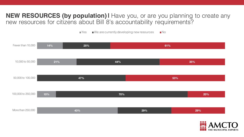### **NEW RESOURCES (by population) I** Have you, or are you planning to create any new resources for citizens about Bill 8's accountability requirements?

 $\blacksquare$  Yes  $\blacksquare$  We are currently developing new resources  $\blacksquare$  No



**THE MUNICIPAL EXPERTS**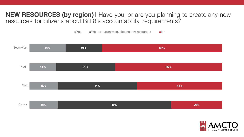### **NEW RESOURCES (by region) I** Have you, or are you planning to create any new resources for citizens about Bill 8's accountability requirements?

 $\blacksquare$  Yes  $\blacksquare$  We are currently developing new resources  $\blacksquare$  No



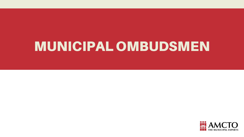# MUNICIPAL OMBUDSMEN

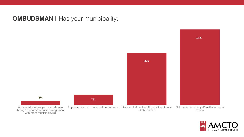## **OMBUDSMAN I Has your municipality:**



**53%**



Appointed a municipal ombudsman through a shared service arrangement with other municipality(s)

Appointed its own municipal ombudsman Decided to Use the Office of the Ontario Ombudsman

Not made decision yet/ matter is under review

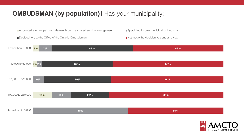# **OMBUDSMAN (by population) I Has your municipality:**

Appointed a municipal ombudsman through a shared service arrangement **Appointed its own municipal ombudsman** 

■Decided to Use the Office of the Ontario Ombudsman Not made the decision yet/ under review



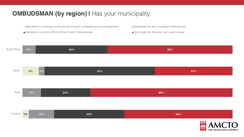## **OMBUDSMAN (by region) I Has your municipality:**

Appointed a municipal ombudsman through a shared service arrangement **Appointed its own municipal ombudsman** 

Decided to Use the Office of the Ontario Ombudsman Not made the decision yet/ under review

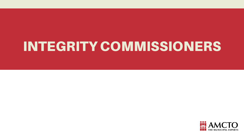# INTEGRITY COMMISSIONERS

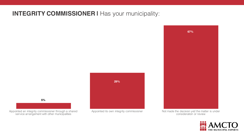## **INTEGRITY COMMISSIONER I** Has your municipality:

**29%**

Appointed its own integrity commissioner Not made the decision yet/ the matter is under consideration or review





Appointed an integrity commissioner through a shared service arrangement with other municipalities

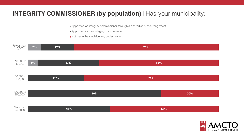## **INTEGRITY COMMISSIONER (by population) I** Has your municipality:

Appointed an integrity commissioner through a shared service arrangement

- Appointed its own integrity commissioner
- Not made the decision yet/ under review

| Fewer than<br>10,000  | 7% | 17% |     | 76% |     |
|-----------------------|----|-----|-----|-----|-----|
| 10,000 to<br>50,000   | 5% | 33% |     | 63% |     |
| 50,000 to<br>100,000  |    | 29% |     | 71% |     |
| 100,000 to<br>250,000 |    |     | 70% |     | 30% |
| More than<br>250,000  |    | 43% |     |     | 57% |

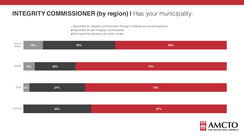## **INTEGRITY COMMISSIONER (by region) I** Has your municipality:

Appointed an integrity commissioner through a shared service arrangement

- **Appointed its own integrity commissioner**
- Not made the decision yet/ under review



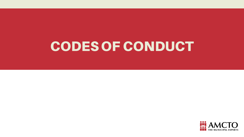# CODES OF CONDUCT

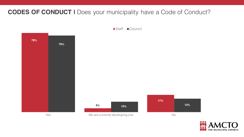**CODES OF CONDUCT I** Does your municipality have a Code of Conduct?

Staff Council



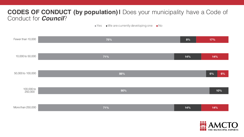## **CODES OF CONDUCT (by population) I** Does your municipality have a Code of Conduct for *Council*?

 $\blacktriangleright$  Yes  $\blacktriangleright$  We are currently developing one  $\blacktriangleright$  No

| Fewer than 10,000     | 75% | 8%  | 17%                           |
|-----------------------|-----|-----|-------------------------------|
|                       |     |     |                               |
| 10,000 to 50,000      | 71% | 14% | 14%                           |
|                       |     |     |                               |
| 50,000 to 100,000     | 88% |     | 6%<br>6%                      |
|                       |     |     |                               |
| 100,000 to<br>250,000 | 90% |     | 10%                           |
|                       |     |     |                               |
| More than 250,000     | 71% | 14% | 14%                           |
|                       |     |     |                               |
|                       |     |     | $\bullet\bullet\bullet$<br>66 |

THE MUNICIPAL EXPERTS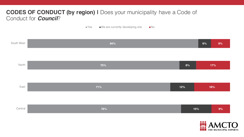### **CODES OF CONDUCT (by region) |** Does your municipality have a Code of Conduct for *Council*?

■ Yes ■ We are currently developing one ■ No

| South West | 84% |     | 6%  | 9%               |
|------------|-----|-----|-----|------------------|
|            |     |     |     |                  |
| North      | 75% | 8%  | 17% |                  |
|            |     |     |     |                  |
| East       | 71% | 12% | 18% |                  |
|            |     |     |     |                  |
| Central    | 76% |     | 15% | 9%               |
|            |     |     |     | <b>iii</b> ANACT |

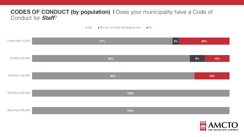#### **CODES OF CONDUCT (by population) I** Does your municipality have a Code of Conduct for *Staff*?

 $\blacksquare$  Yes  $\blacksquare$  We are currently developing one  $\blacksquare$  No

| Fewer than 10,000  | 71%  | $ 3\% $ | 25% |     |
|--------------------|------|---------|-----|-----|
| 10,000 to 50,000   | 80%  |         | 8%  | 13% |
| 50,000 to 100,000  | 82%  |         |     | 18% |
| 100,000 to 250,000 | 100% |         |     |     |
| More than 250,000  | 100% |         |     |     |

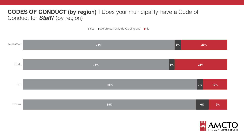### **CODES OF CONDUCT (by region) I** Does your municipality have a Code of Conduct for *Staff*? (by region)

 $\blacksquare$  Yes  $\blacksquare$  We are currently developing one  $\blacksquare$  No



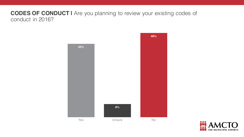#### **CODES OF CONDUCT |** Are you planning to review your existing codes of conduct in 2016?



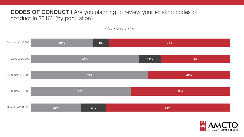### **CODES OF CONDUCT I** Are you planning to review your existing codes of conduct in 2016? (by population)



| Fewer than 10,000  | 31% | 8%  | 61%        |  |  |
|--------------------|-----|-----|------------|--|--|
| 10,000 to 50,000   | 54% |     | 11%<br>35% |  |  |
| 50,000 to 100,000  | 59% |     | 41%        |  |  |
| 100,000 to 250,000 | 50% |     | 50%        |  |  |
| More than 250,000  | 25% | 13% | 63%        |  |  |

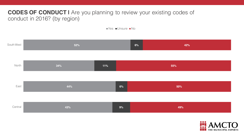### **CODES OF CONDUCT I** Are you planning to review your existing codes of conduct in 2016? (by region)

 $Yes$  Unsure  $No$ 



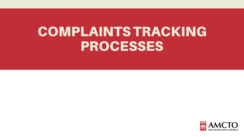# COMPLAINTS TRACKING PROCESSES

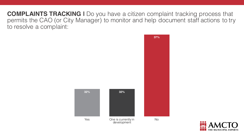**COMPLAINTS TRACKING I** Do you have a citizen complaint tracking process that permits the CAO (or City Manager) to monitor and help document staff actions to try to resolve a complaint:



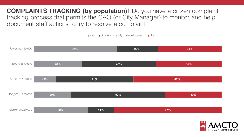**COMPLAINTS TRACKING (by population) I** Do you have a citizen complaint tracking process that permits the CAO (or City Manager) to monitor and help document staff actions to try to resolve a complaint:

 $\blacksquare$  Yes  $\blacksquare$  One is currently in development  $\blacksquare$  No

| Fewer than 10,000  |     | 44% | 22% | 34% |
|--------------------|-----|-----|-----|-----|
| 10,000 to 50,000   | 26% |     | 40% | 35% |
| 50,000 to 100,000  | 12% | 41% |     | 47% |
| 100,000 to 250,000 | 20% |     | 50% | 30% |
| More than 250,000  | 29% | 14% |     | 57% |

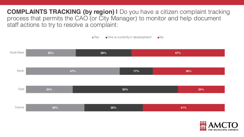**COMPLAINTS TRACKING (by region) I** Do you have a citizen complaint tracking process that permits the CAO (or City Manager) to monitor and help document staff actions to try to resolve a complaint:

 $\blacksquare$  Yes  $\blacksquare$  One is currently in development  $\blacksquare$  No



THE MUNICIPAL EXPERTS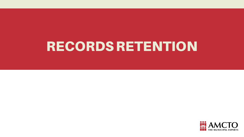# RECORDS RETENTION

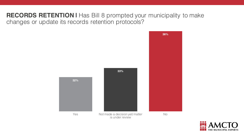### **RECORDS RETENTION I** Has Bill 8 prompted your municipality to make changes or update its records retention protocols?



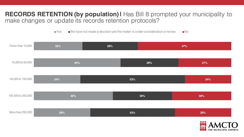#### **RECORDS RETENTION (by population) I** Has Bill 8 prompted your municipality to make changes or update its records retention protocols?

 $\blacksquare$  Yes  $\blacksquare$  We have not made a decision yet/ the matter is under consideration or review  $\blacksquare$  No

| Fewer than 10,000  | 25% | 28% |     | 47%                                   |
|--------------------|-----|-----|-----|---------------------------------------|
| 10,000 to 50,000   | 44% |     | 29% | 27%                                   |
| 50,000 to 100,000  | 24% |     | 53% | 24%                                   |
| 100,000 to 250,000 | 40% |     | 30% | 30%                                   |
| More than 250,000  | 29% |     | 43% | 29%                                   |
|                    |     |     |     | $\bullet\bullet\bullet$<br><u>Ari</u> |

**THE MUNICIPAL EXPERTS**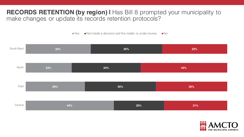### **RECORDS RETENTION (by region) I** Has Bill 8 prompted your municipality to make changes or update its records retention protocols?

 $\blacksquare$  Yes  $\blacksquare$  Not made a decision yet/ the matter is under review  $\blacksquare$  No